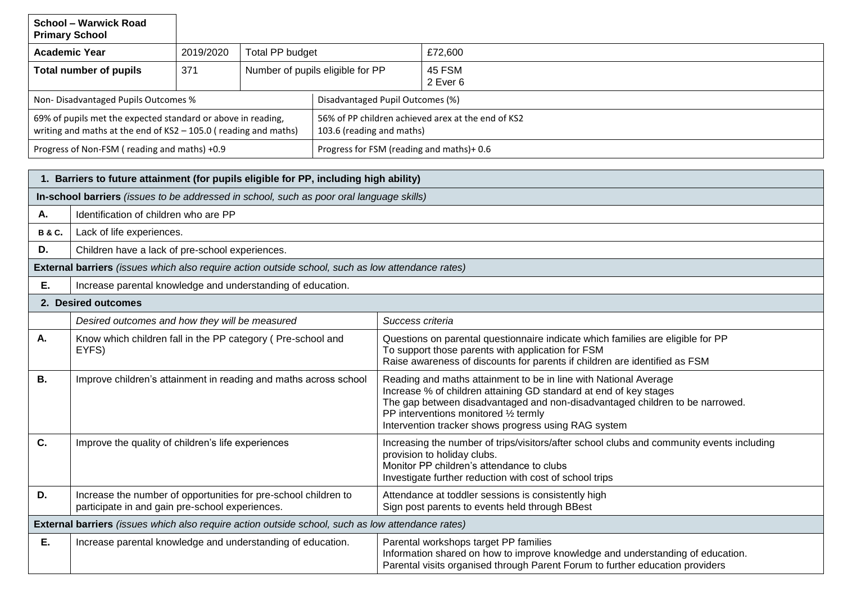| <b>Primary School</b>                                                                                                             | <b>School - Warwick Road</b>                                                                                                      |                                                |                 |                                                                                 |                                                                                                                                                                                                                                                                                                                        |                    |  |  |
|-----------------------------------------------------------------------------------------------------------------------------------|-----------------------------------------------------------------------------------------------------------------------------------|------------------------------------------------|-----------------|---------------------------------------------------------------------------------|------------------------------------------------------------------------------------------------------------------------------------------------------------------------------------------------------------------------------------------------------------------------------------------------------------------------|--------------------|--|--|
| <b>Academic Year</b>                                                                                                              |                                                                                                                                   | 2019/2020                                      | Total PP budget |                                                                                 |                                                                                                                                                                                                                                                                                                                        | £72,600            |  |  |
| <b>Total number of pupils</b>                                                                                                     |                                                                                                                                   | 371                                            |                 | Number of pupils eligible for PP                                                |                                                                                                                                                                                                                                                                                                                        | 45 FSM<br>2 Ever 6 |  |  |
|                                                                                                                                   | Non-Disadvantaged Pupils Outcomes %                                                                                               |                                                |                 |                                                                                 | Disadvantaged Pupil Outcomes (%)                                                                                                                                                                                                                                                                                       |                    |  |  |
| 69% of pupils met the expected standard or above in reading,<br>writing and maths at the end of $KS2 - 105.0$ (reading and maths) |                                                                                                                                   |                                                |                 | 56% of PP children achieved arex at the end of KS2<br>103.6 (reading and maths) |                                                                                                                                                                                                                                                                                                                        |                    |  |  |
|                                                                                                                                   | Progress of Non-FSM (reading and maths) +0.9                                                                                      |                                                |                 |                                                                                 | Progress for FSM (reading and maths)+0.6                                                                                                                                                                                                                                                                               |                    |  |  |
|                                                                                                                                   |                                                                                                                                   |                                                |                 |                                                                                 |                                                                                                                                                                                                                                                                                                                        |                    |  |  |
|                                                                                                                                   | 1. Barriers to future attainment (for pupils eligible for PP, including high ability)                                             |                                                |                 |                                                                                 |                                                                                                                                                                                                                                                                                                                        |                    |  |  |
| А.                                                                                                                                | In-school barriers (issues to be addressed in school, such as poor oral language skills)<br>Identification of children who are PP |                                                |                 |                                                                                 |                                                                                                                                                                                                                                                                                                                        |                    |  |  |
| <b>B&amp;C.</b>                                                                                                                   | Lack of life experiences.                                                                                                         |                                                |                 |                                                                                 |                                                                                                                                                                                                                                                                                                                        |                    |  |  |
| D.                                                                                                                                | Children have a lack of pre-school experiences.                                                                                   |                                                |                 |                                                                                 |                                                                                                                                                                                                                                                                                                                        |                    |  |  |
|                                                                                                                                   | External barriers (issues which also require action outside school, such as low attendance rates)                                 |                                                |                 |                                                                                 |                                                                                                                                                                                                                                                                                                                        |                    |  |  |
| Ε.                                                                                                                                | Increase parental knowledge and understanding of education.                                                                       |                                                |                 |                                                                                 |                                                                                                                                                                                                                                                                                                                        |                    |  |  |
|                                                                                                                                   | 2. Desired outcomes                                                                                                               |                                                |                 |                                                                                 |                                                                                                                                                                                                                                                                                                                        |                    |  |  |
|                                                                                                                                   |                                                                                                                                   | Desired outcomes and how they will be measured |                 |                                                                                 | Success criteria                                                                                                                                                                                                                                                                                                       |                    |  |  |
| Α.                                                                                                                                | Know which children fall in the PP category (Pre-school and<br>EYFS)                                                              |                                                |                 |                                                                                 | Questions on parental questionnaire indicate which families are eligible for PP<br>To support those parents with application for FSM<br>Raise awareness of discounts for parents if children are identified as FSM                                                                                                     |                    |  |  |
| <b>B.</b>                                                                                                                         | Improve children's attainment in reading and maths across school                                                                  |                                                |                 |                                                                                 | Reading and maths attainment to be in line with National Average<br>Increase % of children attaining GD standard at end of key stages<br>The gap between disadvantaged and non-disadvantaged children to be narrowed.<br>PP interventions monitored 1/2 termly<br>Intervention tracker shows progress using RAG system |                    |  |  |
| C.                                                                                                                                | Improve the quality of children's life experiences                                                                                |                                                |                 |                                                                                 | Increasing the number of trips/visitors/after school clubs and community events including<br>provision to holiday clubs.<br>Monitor PP children's attendance to clubs<br>Investigate further reduction with cost of school trips                                                                                       |                    |  |  |
| D.                                                                                                                                | Increase the number of opportunities for pre-school children to<br>participate in and gain pre-school experiences.                |                                                |                 |                                                                                 | Attendance at toddler sessions is consistently high<br>Sign post parents to events held through BBest                                                                                                                                                                                                                  |                    |  |  |
| External barriers (issues which also require action outside school, such as low attendance rates)                                 |                                                                                                                                   |                                                |                 |                                                                                 |                                                                                                                                                                                                                                                                                                                        |                    |  |  |
| Ε.                                                                                                                                | Increase parental knowledge and understanding of education.                                                                       |                                                |                 |                                                                                 | Parental workshops target PP families<br>Information shared on how to improve knowledge and understanding of education.                                                                                                                                                                                                |                    |  |  |

Parental visits organised through Parent Forum to further education providers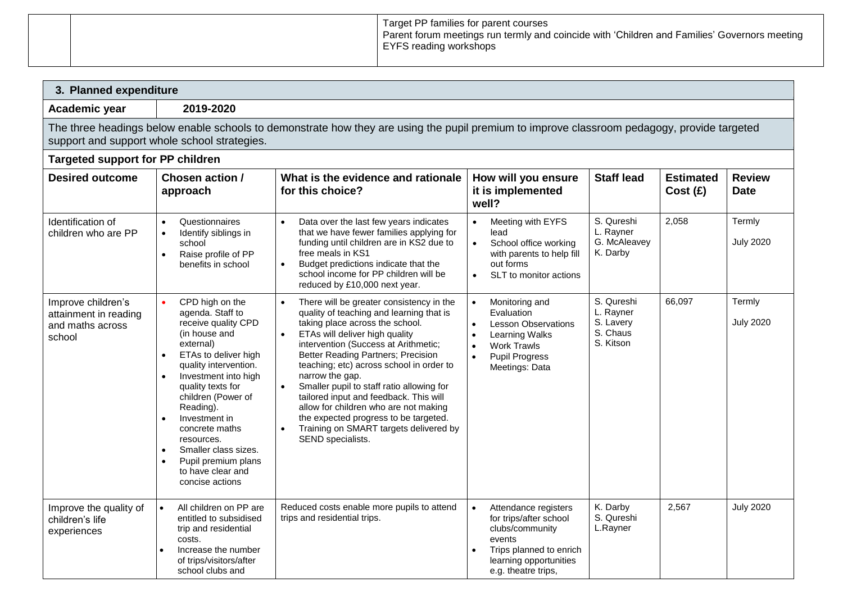|  | Target PP families for parent courses<br>Parent forum meetings run termly and coincide with 'Children and Families' Governors meeting<br>  EYFS reading workshops |
|--|-------------------------------------------------------------------------------------------------------------------------------------------------------------------|
|  |                                                                                                                                                                   |

| 3. Planned expenditure                                                                                                                                                                      |                                                                                                                                                                                                                                                                                                                                                                                                          |                                                                                                                                                                                                                                                                                                                                                                                                                                                                                                                                                |                                                                                                                                                                                                         |                                                               |                             |                              |  |  |
|---------------------------------------------------------------------------------------------------------------------------------------------------------------------------------------------|----------------------------------------------------------------------------------------------------------------------------------------------------------------------------------------------------------------------------------------------------------------------------------------------------------------------------------------------------------------------------------------------------------|------------------------------------------------------------------------------------------------------------------------------------------------------------------------------------------------------------------------------------------------------------------------------------------------------------------------------------------------------------------------------------------------------------------------------------------------------------------------------------------------------------------------------------------------|---------------------------------------------------------------------------------------------------------------------------------------------------------------------------------------------------------|---------------------------------------------------------------|-----------------------------|------------------------------|--|--|
| 2019-2020<br>Academic year                                                                                                                                                                  |                                                                                                                                                                                                                                                                                                                                                                                                          |                                                                                                                                                                                                                                                                                                                                                                                                                                                                                                                                                |                                                                                                                                                                                                         |                                                               |                             |                              |  |  |
| The three headings below enable schools to demonstrate how they are using the pupil premium to improve classroom pedagogy, provide targeted<br>support and support whole school strategies. |                                                                                                                                                                                                                                                                                                                                                                                                          |                                                                                                                                                                                                                                                                                                                                                                                                                                                                                                                                                |                                                                                                                                                                                                         |                                                               |                             |                              |  |  |
|                                                                                                                                                                                             | <b>Targeted support for PP children</b>                                                                                                                                                                                                                                                                                                                                                                  |                                                                                                                                                                                                                                                                                                                                                                                                                                                                                                                                                |                                                                                                                                                                                                         |                                                               |                             |                              |  |  |
| <b>Desired outcome</b>                                                                                                                                                                      | Chosen action /<br>approach                                                                                                                                                                                                                                                                                                                                                                              | What is the evidence and rationale<br>for this choice?                                                                                                                                                                                                                                                                                                                                                                                                                                                                                         | How will you ensure<br>it is implemented<br>well?                                                                                                                                                       | <b>Staff lead</b>                                             | <b>Estimated</b><br>Cost(E) | <b>Review</b><br><b>Date</b> |  |  |
| Identification of<br>children who are PP                                                                                                                                                    | Questionnaires<br>$\bullet$<br>Identify siblings in<br>school<br>Raise profile of PP<br>benefits in school                                                                                                                                                                                                                                                                                               | Data over the last few years indicates<br>that we have fewer families applying for<br>funding until children are in KS2 due to<br>free meals in KS1<br>Budget predictions indicate that the<br>school income for PP children will be<br>reduced by £10,000 next year.                                                                                                                                                                                                                                                                          | Meeting with EYFS<br>$\bullet$<br>lead<br>School office working<br>$\bullet$<br>with parents to help fill<br>out forms<br>SLT to monitor actions<br>$\bullet$                                           | S. Qureshi<br>L. Rayner<br>G. McAleavey<br>K. Darby           | 2,058                       | Termly<br><b>July 2020</b>   |  |  |
| Improve children's<br>attainment in reading<br>and maths across<br>school                                                                                                                   | $\bullet$<br>CPD high on the<br>agenda. Staff to<br>receive quality CPD<br>(in house and<br>external)<br>ETAs to deliver high<br>quality intervention.<br>Investment into high<br>quality texts for<br>children (Power of<br>Reading).<br>Investment in<br>$\bullet$<br>concrete maths<br>resources.<br>Smaller class sizes.<br>$\bullet$<br>Pupil premium plans<br>to have clear and<br>concise actions | There will be greater consistency in the<br>quality of teaching and learning that is<br>taking place across the school.<br>ETAs will deliver high quality<br>intervention (Success at Arithmetic;<br>Better Reading Partners; Precision<br>teaching; etc) across school in order to<br>narrow the gap.<br>Smaller pupil to staff ratio allowing for<br>tailored input and feedback. This will<br>allow for children who are not making<br>the expected progress to be targeted.<br>Training on SMART targets delivered by<br>SEND specialists. | Monitoring and<br>$\bullet$<br>Evaluation<br><b>Lesson Observations</b><br>$\bullet$<br>Learning Walks<br>$\bullet$<br>$\bullet$<br>Work Trawls<br>$\bullet$<br><b>Pupil Progress</b><br>Meetings: Data | S. Qureshi<br>L. Rayner<br>S. Lavery<br>S. Chaus<br>S. Kitson | 66,097                      | Termly<br><b>July 2020</b>   |  |  |
| Improve the quality of<br>children's life<br>experiences                                                                                                                                    | $\bullet$<br>All children on PP are<br>entitled to subsidised<br>trip and residential<br>costs.<br>Increase the number<br>of trips/visitors/after<br>school clubs and                                                                                                                                                                                                                                    | Reduced costs enable more pupils to attend<br>trips and residential trips.                                                                                                                                                                                                                                                                                                                                                                                                                                                                     | Attendance registers<br>$\bullet$<br>for trips/after school<br>clubs/community<br>events<br>Trips planned to enrich<br>learning opportunities<br>e.g. theatre trips,                                    | K. Darby<br>S. Qureshi<br>L.Rayner                            | 2,567                       | <b>July 2020</b>             |  |  |